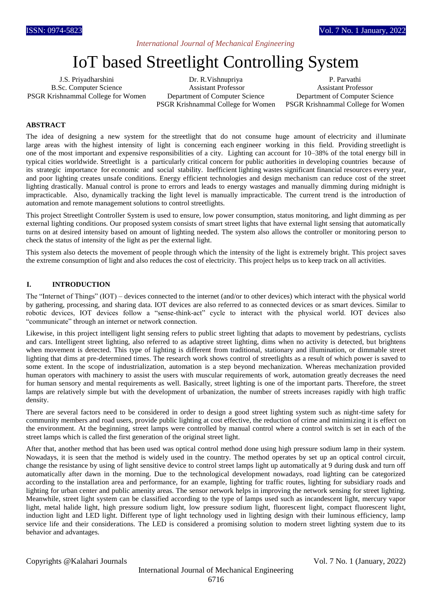# *International Journal of Mechanical Engineering*

# IoT based Streetlight Controlling System

J.S. Priyadharshini B.Sc. Computer Science PSGR Krishnammal College for Women

Dr. R.Vishnupriya Assistant Professor Department of Computer Science PSGR Krishnammal College for Women

P. Parvathi Assistant Professor Department of Computer Science PSGR Krishnammal College for Women

# **ABSTRACT**

The idea of designing a new system for the streetlight that do not consume huge amount of electricity and illuminate large areas with the highest intensity of light is concerning each engineer working in this field. Providing streetlight is one of the most important and expensive responsibilities of a city. Lighting can account for 10–38% of the total energy bill in typical cities worldwide. Streetlight is a particularly critical concern for public authorities in developing countries because of its strategic importance for economic and social stability. Inefficient lighting wastes significant financial resources every year, and poor lighting creates unsafe conditions. Energy efficient technologies and design mechanism can reduce cost of the street lighting drastically. Manual control is prone to errors and leads to energy wastages and manually dimming during midnight is impracticable. Also, dynamically tracking the light level is manually impracticable. The current trend is the introduction of automation and remote management solutions to control streetlights.

This project Streetlight Controller System is used to ensure, low power consumption, status monitoring, and light dimming as per external lighting conditions. Our proposed system consists of smart street lights that have external light sensing that automatically turns on at desired intensity based on amount of lighting needed. The system also allows the controller or monitoring person to check the status of intensity of the light as per the external light.

This system also detects the movement of people through which the intensity of the light is extremely bright. This project saves the extreme consumption of light and also reduces the cost of electricity. This project helps us to keep track on all activities.

#### **I. INTRODUCTION**

The "Internet of Things" (IOT) – devices connected to the internet (and/or to other devices) which interact with the physical world by gathering, processing, and sharing data. IOT devices are also referred to as connected devices or as smart devices. Similar to robotic devices, IOT devices follow a "sense-think-act" cycle to interact with the physical world. IOT devices also "communicate" through an internet or network connection.

Likewise, in this project intelligent light sensing refers to public street lighting that adapts to movement by pedestrians, cyclists and cars. Intelligent street lighting, also referred to as adaptive street lighting, dims when no activity is detected, but brightens when movement is detected. This type of lighting is different from traditional, stationary and illumination, or dimmable street lighting that dims at pre-determined times. The research work shows control of streetlights as a result of which power is saved to some extent. In the scope of industrialization, automation is a step beyond mechanization. Whereas mechanization provided human operators with machinery to assist the users with muscular requirements of work, automation greatly decreases the need for human sensory and mental requirements as well. Basically, street lighting is one of the important parts. Therefore, the street lamps are relatively simple but with the development of urbanization, the number of streets increases rapidly with high traffic density.

There are several factors need to be considered in order to design a good street lighting system such as night-time safety for community members and road users, provide public lighting at cost effective, the reduction of crime and minimizing it is effect on the environment. At the beginning, street lamps were controlled by manual control where a control switch is set in each of the street lamps which is called the first generation of the original street light.

After that, another method that has been used was optical control method done using high pressure sodium lamp in their system. Nowadays, it is seen that the method is widely used in the country. The method operates by set up an optical control circuit, change the resistance by using of light sensitive device to control street lamps light up automatically at 9 during dusk and turn off automatically after dawn in the morning. Due to the technological development nowadays, road lighting can be categorized according to the installation area and performance, for an example, lighting for traffic routes, lighting for subsidiary roads and lighting for urban center and public amenity areas. The sensor network helps in improving the network sensing for street lighting. Meanwhile, street light system can be classified according to the type of lamps used such as incandescent light, mercury vapor light, metal halide light, high pressure sodium light, low pressure sodium light, fluorescent light, compact fluorescent light, induction light and LED light. Different type of light technology used in lighting design with their luminous efficiency, lamp service life and their considerations. The LED is considered a promising solution to modern street lighting system due to its behavior and advantages.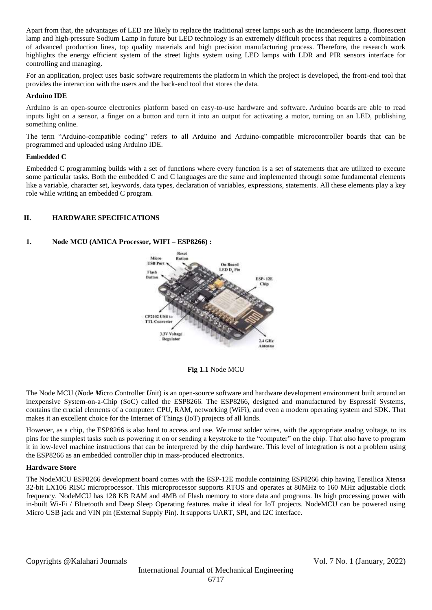Apart from that, the advantages of LED are likely to replace the traditional street lamps such as the incandescent lamp, fluorescent lamp and high-pressure Sodium Lamp in future but LED technology is an extremely difficult process that requires a combination of advanced production lines, top quality materials and high precision manufacturing process. Therefore, the research work highlights the energy efficient system of the street lights system using LED lamps with LDR and PIR sensors interface for controlling and managing.

For an application, project uses basic software requirements the platform in which the project is developed, the front-end tool that provides the interaction with the users and the back-end tool that stores the data.

## **Arduino IDE**

Arduino is an open-source electronics platform based on easy-to-use hardware and software. Arduino boards are able to read inputs light on a sensor, a finger on a button and turn it into an output for activating a motor, turning on an LED, publishing something online.

The term "Arduino-compatible coding" refers to all Arduino and Arduino-compatible microcontroller boards that can be programmed and uploaded using Arduino IDE.

## **Embedded C**

Embedded C programming builds with a set of functions where every function is a set of statements that are utilized to execute some particular tasks. Both the embedded C and C languages are the same and implemented through some fundamental elements like a variable, character set, keywords, data types, declaration of variables, expressions, statements. All these elements play a key role while writing an embedded C program.

# **II. HARDWARE SPECIFICATIONS**

# **1. Node MCU (AMICA Processor, WIFI – ESP8266) :**



## **Fig 1.1** Node MCU

The Node MCU (*N*ode *M*icro *C*ontroller *U*nit) is an open-source software and hardware development environment built around an inexpensive System-on-a-Chip (SoC) called the ESP8266. The ESP8266, designed and manufactured by Espressif Systems, contains the crucial elements of a computer: CPU, RAM, networking (WiFi), and even a modern operating system and SDK. That makes it an excellent choice for the Internet of Things (IoT) projects of all kinds.

However, as a chip, the ESP8266 is also hard to access and use. We must solder wires, with the appropriate analog voltage, to its pins for the simplest tasks such as powering it on or sending a keystroke to the "computer" on the chip. That also have to program it in low-level machine instructions that can be interpreted by the chip hardware. This level of integration is not a problem using the ESP8266 as an embedded controller chip in mass-produced electronics.

## **Hardware Store**

The NodeMCU ESP8266 development board comes with the ESP-12E module containing ESP8266 chip having Tensilica Xtensa 32-bit LX106 RISC microprocessor. This microprocessor supports RTOS and operates at 80MHz to 160 MHz adjustable clock frequency. NodeMCU has 128 KB RAM and 4MB of Flash memory to store data and programs. Its high processing power with in-built Wi-Fi / Bluetooth and Deep Sleep Operating features make it ideal for IoT projects. NodeMCU can be powered using Micro USB jack and VIN pin (External Supply Pin). It supports UART, SPI, and I2C interface.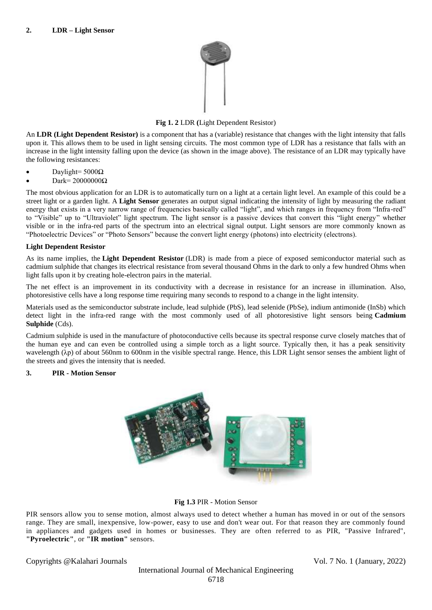

# **Fig 1. 2** LDR **(**Light Dependent Resistor)

An **LDR (Light Dependent Resistor)** is a component that has a (variable) resistance that changes with the light intensity that falls upon it. This allows them to be used in light sensing circuits. The most common type of LDR has a resistance that falls with an increase in the light intensity falling upon the device (as shown in the image above). The resistance of an LDR may typically have the following resistances:

- Daylight= 5000Ω
- Dark=  $20000000\Omega$

The most obvious application for an LDR is to automatically turn on a light at a certain light level. An example of this could be a street light or a garden light. A **Light Sensor** generates an output signal indicating the intensity of light by measuring the radiant energy that exists in a very narrow range of frequencies basically called "light", and which ranges in frequency from "Infra-red" to "Visible" up to "Ultraviolet" light spectrum. The light sensor is a passive devices that convert this "light energy" whether visible or in the infra-red parts of the spectrum into an electrical signal output. Light sensors are more commonly known as "Photoelectric Devices" or "Photo Sensors" because the convert light energy (photons) into electricity (electrons).

# **Light Dependent Resistor**

As its name implies, the **Light Dependent Resistor** (LDR) is made from a piece of exposed semiconductor material such as cadmium sulphide that changes its electrical resistance from several thousand Ohms in the dark to only a few hundred Ohms when light falls upon it by creating hole-electron pairs in the material.

The net effect is an improvement in its conductivity with a decrease in resistance for an increase in illumination. Also, photoresistive cells have a long response time requiring many seconds to respond to a change in the light intensity.

Materials used as the semiconductor substrate include, lead sulphide (PbS), lead selenide (PbSe), indium antimonide (InSb) which detect light in the infra-red range with the most commonly used of all photoresistive light sensors being **Cadmium Sulphide** (Cds).

Cadmium sulphide is used in the manufacture of photoconductive cells because its spectral response curve closely matches that of the human eye and can even be controlled using a simple torch as a light source. Typically then, it has a peak sensitivity wavelength (λp) of about 560nm to 600nm in the visible spectral range. Hence, this LDR Light sensor senses the ambient light of the streets and gives the intensity that is needed.

# **3. PIR - Motion Sensor**



## **Fig 1.3** PIR - Motion Sensor

PIR sensors allow you to sense motion, almost always used to detect whether a human has moved in or out of the sensors range. They are small, inexpensive, low-power, easy to use and don't wear out. For that reason they are commonly found in appliances and gadgets used in homes or businesses. They are often referred to as PIR, "Passive Infrared", **"Pyroelectric"**, or **"IR motion"** sensors.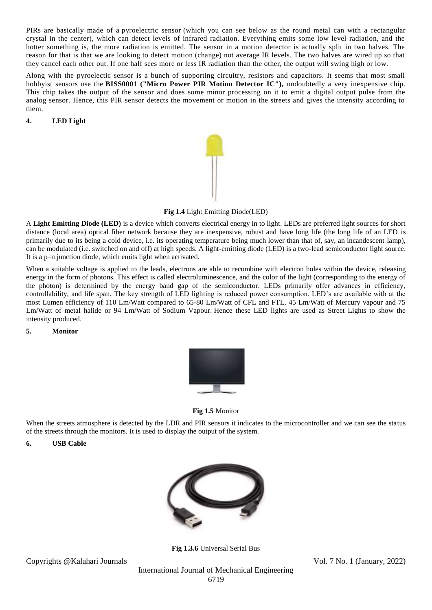PIRs are basically made of a [pyroelectric sensor](http://en.wikipedia.org/wiki/Pyroelectric) (which you can see below as the round metal can with a rectangular crystal in the center), which can detect levels of infrared radiation. Everything emits some low level radiation, and the hotter something is, the more radiation is emitted. The sensor in a motion detector is actually split in two halves. The reason for that is that we are looking to detect motion (change) not average IR levels. The two halves are wired up so that they cancel each other out. If one half sees more or less IR radiation than the other, the output will swing high or low.

Along with the pyroelectic sensor is a bunch of supporting circuitry, resistors and capacitors. It seems that most small hobbyist sensors use the **BISS0001 ("Micro Power PIR Motion Detector IC"),** undoubtedly a very inexpensive chip. This chip takes the output of the sensor and does some minor processing on it to emit a digital output pulse from the analog sensor. Hence, this PIR sensor detects the movement or motion in the streets and gives the intensity according to them.

# **4. LED Light**



**Fig 1.4** Light Emitting Diode(LED)

A **Light Emitting Diode (LED)** is a device which converts electrical energy in to light. LEDs are preferred light sources for short distance (local area) optical fiber network because they are inexpensive, robust and have long life (the long life of an LED is primarily due to its being a cold device, i.e. its operating temperature being much lower than that of, say, an incandescent lamp), can be modulated (i.e. switched on and off) at high speeds. A light-emitting diode (LED) is a two-lead semiconductor light source. It is a p–n junction diode, which emits light when activated.

When a suitable voltage is applied to the leads, electrons are able to recombine with electron holes within the device, releasing energy in the form of photons. This effect is called electroluminescence, and the color of the light (corresponding to the energy of the photon) is determined by the energy band gap of the semiconductor. LEDs primarily offer advances in efficiency, controllability, and life span. The key strength of LED lighting is reduced power consumption. LED's are available with at the most Lumen efficiency of 110 Lm/Watt compared to 65-80 Lm/Watt of CFL and FTL, 45 Lm/Watt of Mercury vapour and 75 Lm/Watt of metal halide or 94 Lm/Watt of Sodium Vapour. Hence these LED lights are used as Street Lights to show the intensity produced.

## **5. Monitor**



**Fig 1.5** Monitor

When the streets atmosphere is detected by the LDR and PIR sensors it indicates to the microcontroller and we can see the status of the streets through the monitors. It is used to display the output of the system.

# **6. USB Cable**



**Fig 1.3.6** Universal Serial Bus

Copyrights @Kalahari Journals Vol. 7 No. 1 (January, 2022)

International Journal of Mechanical Engineering 6719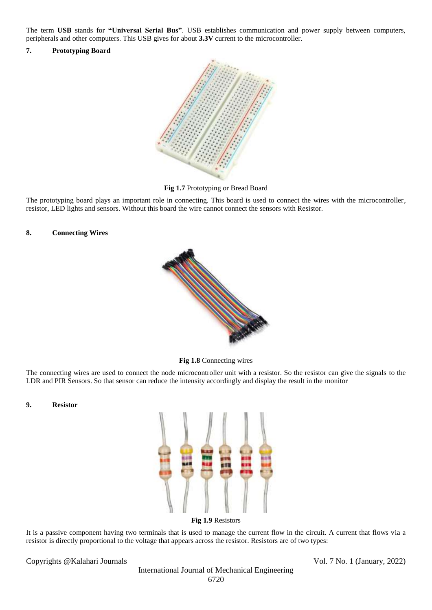The term **USB** stands for **"Universal Serial Bus"**. USB establishes communication and power supply between computers, peripherals and other computers. This USB gives for about **3.3V** current to the microcontroller.

#### **7. Prototyping Board**



**Fig 1.7** Prototyping or Bread Board

The prototyping board plays an important role in connecting. This board is used to connect the wires with the microcontroller, resistor, LED lights and sensors. Without this board the wire cannot connect the sensors with Resistor.

#### **8. Connecting Wires**



**Fig 1.8** Connecting wires

The connecting wires are used to connect the node microcontroller unit with a resistor. So the resistor can give the signals to the LDR and PIR Sensors. So that sensor can reduce the intensity accordingly and display the result in the monitor

## **9. Resistor**



It is a passive component having two terminals that is used to manage the current flow in the circuit. A current that flows via a resistor is directly proportional to the voltage that appears across the resistor. Resistors are of two types:

Copyrights @Kalahari Journals Vol. 7 No. 1 (January, 2022)

International Journal of Mechanical Engineering 6720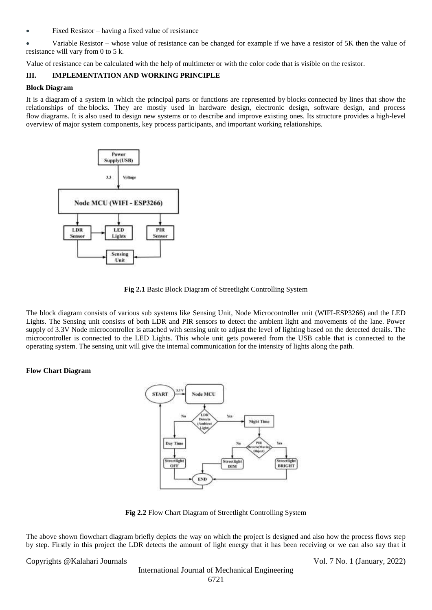Fixed Resistor – having a fixed value of resistance

 Variable Resistor – whose value of resistance can be changed for example if we have a resistor of 5K then the value of resistance will vary from 0 to 5 k.

Value of resistance can be calculated with the help of multimeter or with the color code that is visible on the resistor.

# **III. IMPLEMENTATION AND WORKING PRINCIPLE**

#### **Block Diagram**

It is a diagram of a system in which the principal parts or functions are represented by blocks connected by lines that show the relationships of the blocks. They are mostly used in hardware design, electronic design, software design, and process flow diagrams. It is also used to design new systems or to describe and improve existing ones. Its structure provides a high-level overview of major system components, key process participants, and important working relationships.



**Fig 2.1** Basic Block Diagram of Streetlight Controlling System

The block diagram consists of various sub systems like Sensing Unit, Node Microcontroller unit (WIFI-ESP3266) and the LED Lights. The Sensing unit consists of both LDR and PIR sensors to detect the ambient light and movements of the lane. Power supply of 3.3V Node microcontroller is attached with sensing unit to adjust the level of lighting based on the detected details. The microcontroller is connected to the LED Lights. This whole unit gets powered from the USB cable that is connected to the operating system. The sensing unit will give the internal communication for the intensity of lights along the path.

# **Flow Chart Diagram**



**Fig 2.2** Flow Chart Diagram of Streetlight Controlling System

The above shown flowchart diagram briefly depicts the way on which the project is designed and also how the process flows step by step. Firstly in this project the LDR detects the amount of light energy that it has been receiving or we can also say that it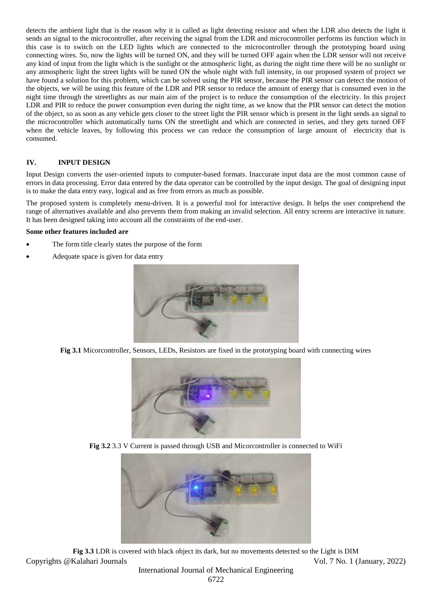detects the ambient light that is the reason why it is called as light detecting resistor and when the LDR also detects the light it sends an signal to the microcontroller, after receiving the signal from the LDR and microcontroller performs its function which in this case is to switch on the LED lights which are connected to the microcontroller through the prototyping board using connecting wires. So, now the lights will be turned ON, and they will be turned OFF again when the LDR sensor will not receive any kind of input from the light which is the sunlight or the atmospheric light, as during the night time there will be no sunlight or any atmospheric light the street lights will be tuned ON the whole night with full intensity, in our proposed system of project we have found a solution for this problem, which can be solved using the PIR sensor, because the PIR sensor can detect the motion of the objects, we will be using this feature of the LDR and PIR sensor to reduce the amount of energy that is consumed even in the night time through the streetlights as our main aim of the project is to reduce the consumption of the electricity. In this project LDR and PIR to reduce the power consumption even during the night time, as we know that the PIR sensor can detect the motion of the object, so as soon as any vehicle gets closer to the street light the PIR sensor which is present in the light sends an signal to the microcontroller which automatically turns ON the streetlight and which are connected in series, and they gets turned OFF when the vehicle leaves, by following this process we can reduce the consumption of large amount of electricity that is consumed.

# **IV. INPUT DESIGN**

Input Design converts the user-oriented inputs to computer-based formats. Inaccurate input data are the most common cause of errors in data processing. Error data entered by the data operator can be controlled by the input design. The goal of designing input is to make the data entry easy, logical and as free from errors as much as possible.

The proposed system is completely menu-driven. It is a powerful tool for interactive design. It helps the user comprehend the range of alternatives available and also prevents them from making an invalid selection. All entry screens are interactive in nature. It has been designed taking into account all the constraints of the end-user.

#### **Some other features included are**

- The form title clearly states the purpose of the form
- Adequate space is given for data entry



**Fig 3.1** Micorcontroller, Sensors, LEDs, Resistors are fixed in the prototyping board with connecting wires



**Fig 3.2** 3.3 V Current is passed through USB and Micorcontroller is connected to WiFi



Copyrights @Kalahari Journals Vol. 7 No. 1 (January, 2022) **Fig 3.3** LDR is covered with black object its dark, but no movements detected so the Light is DIM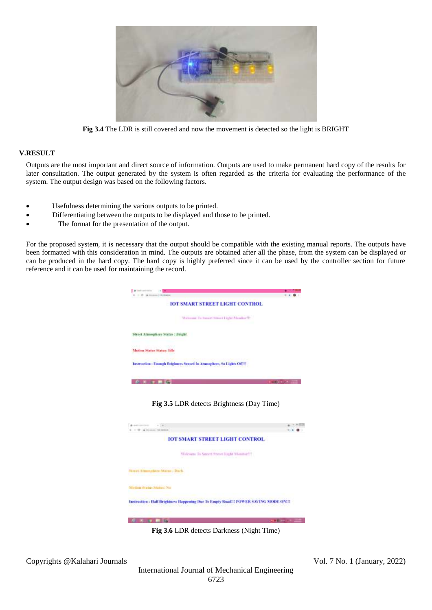

**Fig 3.4** The LDR is still covered and now the movement is detected so the light is BRIGHT

## **V.RESULT**

Outputs are the most important and direct source of information. Outputs are used to make permanent hard copy of the results for later consultation. The output generated by the system is often regarded as the criteria for evaluating the performance of the system. The output design was based on the following factors.

- Usefulness determining the various outputs to be printed.
- Differentiating between the outputs to be displayed and those to be printed.
- The format for the presentation of the output.

For the proposed system, it is necessary that the output should be compatible with the existing manual reports. The outputs have been formatted with this consideration in mind. The outputs are obtained after all the phase, from the system can be displayed or can be produced in the hard copy. The hard copy is highly preferred since it can be used by the controller section for future reference and it can be used for maintaining the record.



**Fig 3.5** LDR detects Brightness (Day Time)



**Fig 3.6** LDR detects Darkness (Night Time)

Copyrights @Kalahari Journals Vol. 7 No. 1 (January, 2022)

International Journal of Mechanical Engineering 6723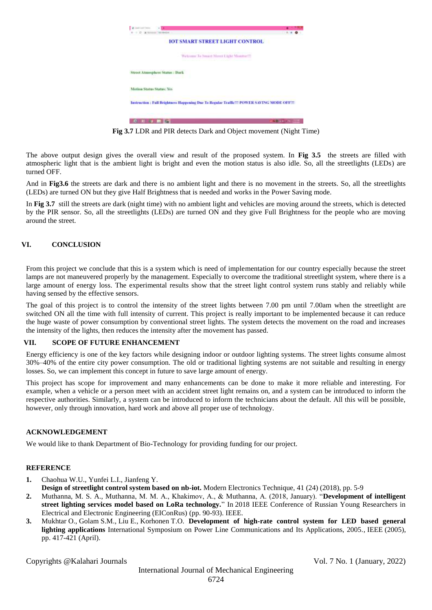

**Fig 3.7** LDR and PIR detects Dark and Object movement (Night Time)

The above output design gives the overall view and result of the proposed system. In **Fig 3.5** the streets are filled with atmospheric light that is the ambient light is bright and even the motion status is also idle. So, all the streetlights (LEDs) are turned OFF.

And in **Fig3.6** the streets are dark and there is no ambient light and there is no movement in the streets. So, all the streetlights (LEDs) are turned ON but they give Half Brightness that is needed and works in the Power Saving mode.

In **Fig 3.7** still the streets are dark (night time) with no ambient light and vehicles are moving around the streets, which is detected by the PIR sensor. So, all the streetlights (LEDs) are turned ON and they give Full Brightness for the people who are moving around the street.

## **VI. CONCLUSION**

From this project we conclude that this is a system which is need of implementation for our country especially because the street lamps are not maneuvered properly by the management. Especially to overcome the traditional streetlight system, where there is a large amount of energy loss. The experimental results show that the street light control system runs stably and reliably while having sensed by the effective sensors.

The goal of this project is to control the intensity of the street lights between 7.00 pm until 7.00am when the streetlight are switched ON all the time with full intensity of current. This project is really important to be implemented because it can reduce the huge waste of power consumption by conventional street lights. The system detects the movement on the road and increases the intensity of the lights, then reduces the intensity after the movement has passed.

## **VII. SCOPE OF FUTURE ENHANCEMENT**

Energy efficiency is one of the key factors while designing indoor or outdoor lighting systems. The street lights consume almost 30%–40% of the entire city power consumption. The old or traditional lighting systems are not suitable and resulting in energy losses. So, we can implement this concept in future to save large amount of energy.

This project has scope for improvement and many enhancements can be done to make it more reliable and interesting. For example, when a vehicle or a person meet with an accident street light remains on, and a system can be introduced to inform the respective authorities. Similarly, a system can be introduced to inform the technicians about the default. All this will be possible, however, only through innovation, hard work and above all proper use of technology.

## **ACKNOWLEDGEMENT**

We would like to thank Department of Bio-Technology for providing funding for our project.

## **REFERENCE**

**1.** Chaohua W.U., Yunfei L.I., Jianfeng Y.

**Design of streetlight control system based on nb-iot.** Modern Electronics Technique, 41 (24) (2018), pp. 5-9

- **2.** Muthanna, M. S. A., Muthanna, M. M. A., Khakimov, A., & Muthanna, A. (2018, January). "**Development of intelligent street lighting services model based on LoRa technology.**" In 2018 IEEE Conference of Russian Young Researchers in Electrical and Electronic Engineering (EIConRus) (pp. 90-93). IEEE.
- **3.** Mukhtar O., Golam S.M., Liu E., Korhonen T.O. **Development of high-rate control system for LED based general lighting applications** International Symposium on Power Line Communications and Its Applications, 2005., IEEE (2005), pp. 417-421 (April).